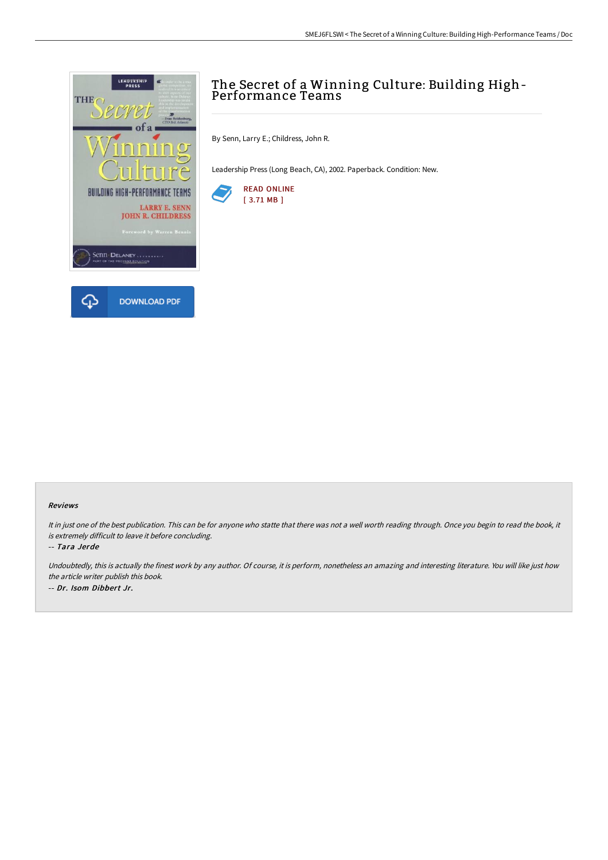

# The Secret of a Winning Culture: Building High-Performance Teams

By Senn, Larry E.; Childress, John R.

Leadership Press (Long Beach, CA), 2002. Paperback. Condition: New.



#### Reviews

It in just one of the best publication. This can be for anyone who statte that there was not a well worth reading through. Once you begin to read the book, it is extremely difficult to leave it before concluding.

-- Tara Jerde

Undoubtedly, this is actually the finest work by any author. Of course, it is perform, nonetheless an amazing and interesting literature. You will like just how the article writer publish this book. -- Dr. Isom Dibbert Jr.